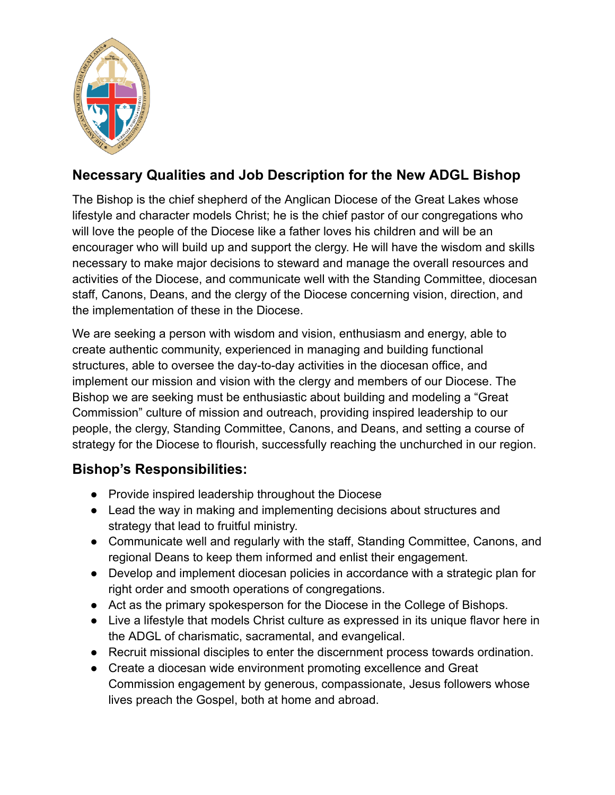

# **Necessary Qualities and Job Description for the New ADGL Bishop**

The Bishop is the chief shepherd of the Anglican Diocese of the Great Lakes whose lifestyle and character models Christ; he is the chief pastor of our congregations who will love the people of the Diocese like a father loves his children and will be an encourager who will build up and support the clergy. He will have the wisdom and skills necessary to make major decisions to steward and manage the overall resources and activities of the Diocese, and communicate well with the Standing Committee, diocesan staff, Canons, Deans, and the clergy of the Diocese concerning vision, direction, and the implementation of these in the Diocese.

We are seeking a person with wisdom and vision, enthusiasm and energy, able to create authentic community, experienced in managing and building functional structures, able to oversee the day-to-day activities in the diocesan office, and implement our mission and vision with the clergy and members of our Diocese. The Bishop we are seeking must be enthusiastic about building and modeling a "Great Commission" culture of mission and outreach, providing inspired leadership to our people, the clergy, Standing Committee, Canons, and Deans, and setting a course of strategy for the Diocese to flourish, successfully reaching the unchurched in our region.

## **Bishop's Responsibilities:**

- Provide inspired leadership throughout the Diocese
- Lead the way in making and implementing decisions about structures and strategy that lead to fruitful ministry.
- Communicate well and regularly with the staff, Standing Committee, Canons, and regional Deans to keep them informed and enlist their engagement.
- Develop and implement diocesan policies in accordance with a strategic plan for right order and smooth operations of congregations.
- Act as the primary spokesperson for the Diocese in the College of Bishops.
- Live a lifestyle that models Christ culture as expressed in its unique flavor here in the ADGL of charismatic, sacramental, and evangelical.
- Recruit missional disciples to enter the discernment process towards ordination.
- Create a diocesan wide environment promoting excellence and Great Commission engagement by generous, compassionate, Jesus followers whose lives preach the Gospel, both at home and abroad.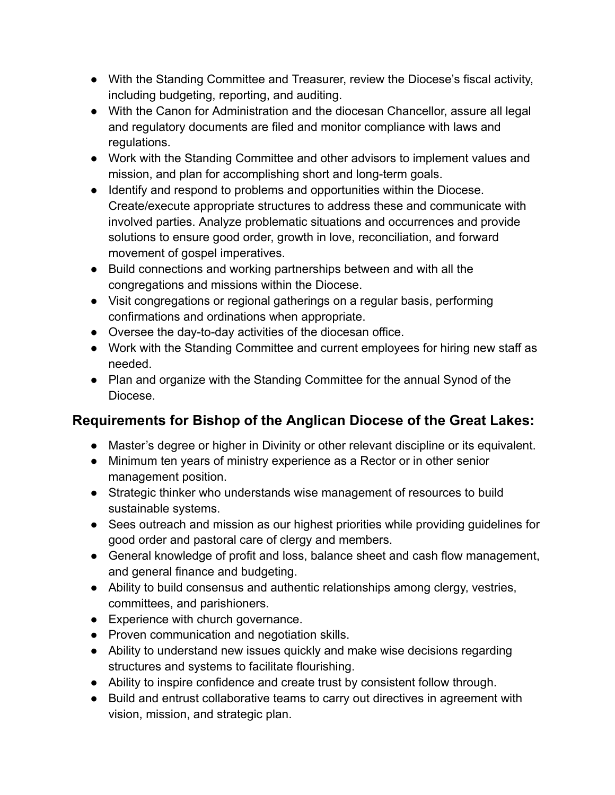- With the Standing Committee and Treasurer, review the Diocese's fiscal activity, including budgeting, reporting, and auditing.
- With the Canon for Administration and the diocesan Chancellor, assure all legal and regulatory documents are filed and monitor compliance with laws and regulations.
- Work with the Standing Committee and other advisors to implement values and mission, and plan for accomplishing short and long-term goals.
- Identify and respond to problems and opportunities within the Diocese. Create/execute appropriate structures to address these and communicate with involved parties. Analyze problematic situations and occurrences and provide solutions to ensure good order, growth in love, reconciliation, and forward movement of gospel imperatives.
- Build connections and working partnerships between and with all the congregations and missions within the Diocese.
- Visit congregations or regional gatherings on a regular basis, performing confirmations and ordinations when appropriate.
- Oversee the day-to-day activities of the diocesan office.
- Work with the Standing Committee and current employees for hiring new staff as needed.
- Plan and organize with the Standing Committee for the annual Synod of the Diocese.

# **Requirements for Bishop of the Anglican Diocese of the Great Lakes:**

- Master's degree or higher in Divinity or other relevant discipline or its equivalent.
- Minimum ten years of ministry experience as a Rector or in other senior management position.
- Strategic thinker who understands wise management of resources to build sustainable systems.
- Sees outreach and mission as our highest priorities while providing guidelines for good order and pastoral care of clergy and members.
- General knowledge of profit and loss, balance sheet and cash flow management, and general finance and budgeting.
- Ability to build consensus and authentic relationships among clergy, vestries, committees, and parishioners.
- Experience with church governance.
- Proven communication and negotiation skills.
- Ability to understand new issues quickly and make wise decisions regarding structures and systems to facilitate flourishing.
- Ability to inspire confidence and create trust by consistent follow through.
- Build and entrust collaborative teams to carry out directives in agreement with vision, mission, and strategic plan.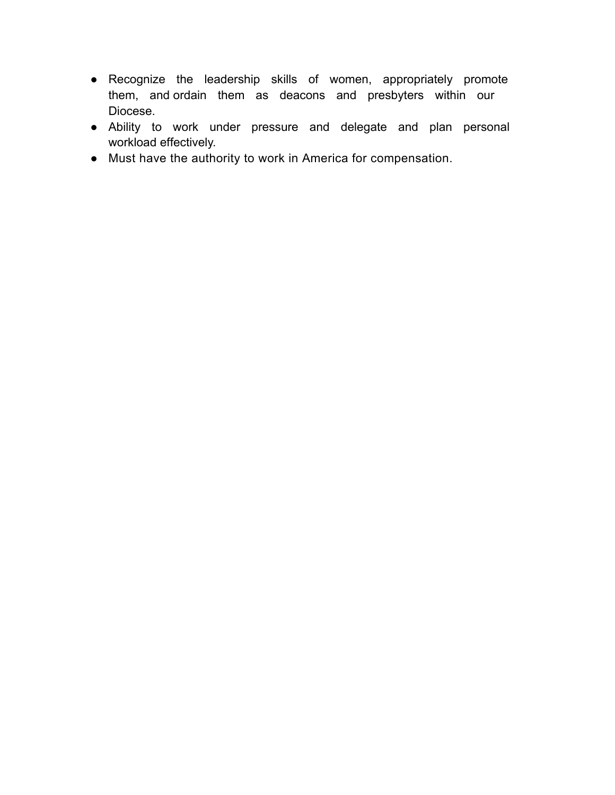- Recognize the leadership skills of women, appropriately promote them, and ordain them as deacons and presbyters within our Diocese.
- Ability to work under pressure and delegate and plan personal workload effectively.
- Must have the authority to work in America for compensation.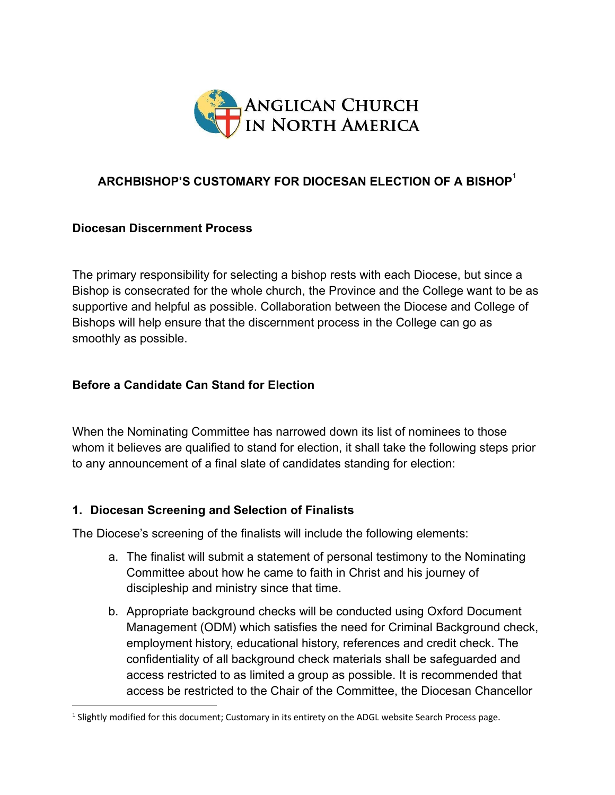

## **ARCHBISHOP'S CUSTOMARY FOR DIOCESAN ELECTION OF A BISHOP** <sup>1</sup>

#### **Diocesan Discernment Process**

The primary responsibility for selecting a bishop rests with each Diocese, but since a Bishop is consecrated for the whole church, the Province and the College want to be as supportive and helpful as possible. Collaboration between the Diocese and College of Bishops will help ensure that the discernment process in the College can go as smoothly as possible.

## **Before a Candidate Can Stand for Election**

When the Nominating Committee has narrowed down its list of nominees to those whom it believes are qualified to stand for election, it shall take the following steps prior to any announcement of a final slate of candidates standing for election:

#### **1. Diocesan Screening and Selection of Finalists**

The Diocese's screening of the finalists will include the following elements:

- a. The finalist will submit a statement of personal testimony to the Nominating Committee about how he came to faith in Christ and his journey of discipleship and ministry since that time.
- b. Appropriate background checks will be conducted using Oxford Document Management (ODM) which satisfies the need for Criminal Background check, employment history, educational history, references and credit check. The confidentiality of all background check materials shall be safeguarded and access restricted to as limited a group as possible. It is recommended that access be restricted to the Chair of the Committee, the Diocesan Chancellor

<sup>&</sup>lt;sup>1</sup> Slightly modified for this document; Customary in its entirety on the ADGL website Search Process page.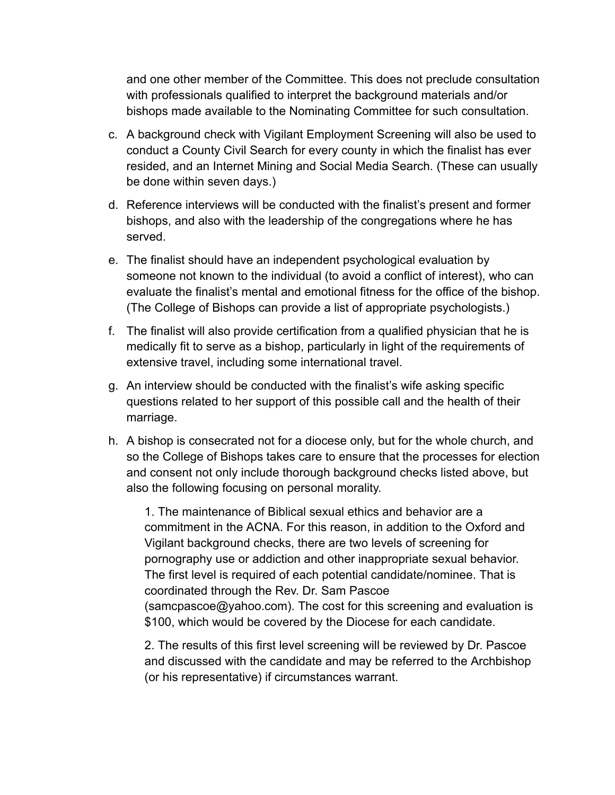and one other member of the Committee. This does not preclude consultation with professionals qualified to interpret the background materials and/or bishops made available to the Nominating Committee for such consultation.

- c. A background check with Vigilant Employment Screening will also be used to conduct a County Civil Search for every county in which the finalist has ever resided, and an Internet Mining and Social Media Search. (These can usually be done within seven days.)
- d. Reference interviews will be conducted with the finalist's present and former bishops, and also with the leadership of the congregations where he has served.
- e. The finalist should have an independent psychological evaluation by someone not known to the individual (to avoid a conflict of interest), who can evaluate the finalist's mental and emotional fitness for the office of the bishop. (The College of Bishops can provide a list of appropriate psychologists.)
- f. The finalist will also provide certification from a qualified physician that he is medically fit to serve as a bishop, particularly in light of the requirements of extensive travel, including some international travel.
- g. An interview should be conducted with the finalist's wife asking specific questions related to her support of this possible call and the health of their marriage.
- h. A bishop is consecrated not for a diocese only, but for the whole church, and so the College of Bishops takes care to ensure that the processes for election and consent not only include thorough background checks listed above, but also the following focusing on personal morality.

1. The maintenance of Biblical sexual ethics and behavior are a commitment in the ACNA. For this reason, in addition to the Oxford and Vigilant background checks, there are two levels of screening for pornography use or addiction and other inappropriate sexual behavior. The first level is required of each potential candidate/nominee. That is coordinated through the Rev. Dr. Sam Pascoe (samcpascoe@yahoo.com). The cost for this screening and evaluation is \$100, which would be covered by the Diocese for each candidate.

2. The results of this first level screening will be reviewed by Dr. Pascoe and discussed with the candidate and may be referred to the Archbishop (or his representative) if circumstances warrant.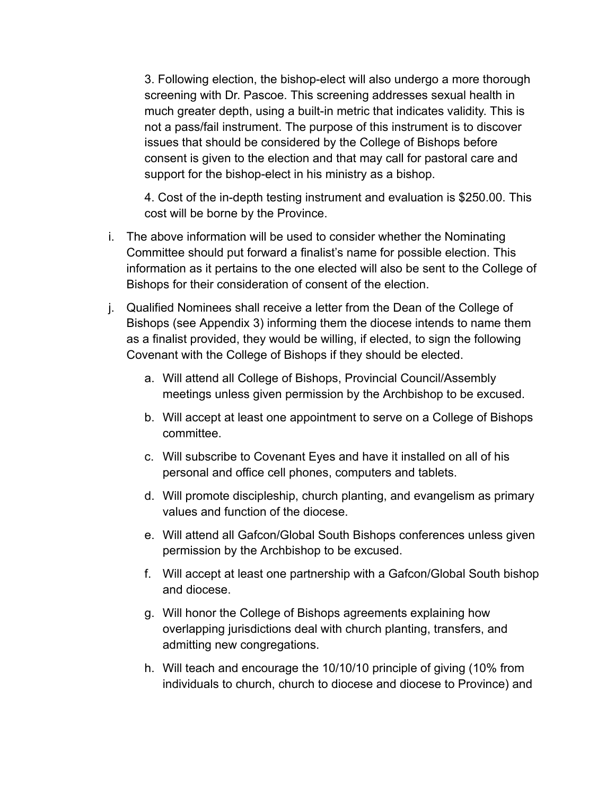3. Following election, the bishop-elect will also undergo a more thorough screening with Dr. Pascoe. This screening addresses sexual health in much greater depth, using a built-in metric that indicates validity. This is not a pass/fail instrument. The purpose of this instrument is to discover issues that should be considered by the College of Bishops before consent is given to the election and that may call for pastoral care and support for the bishop-elect in his ministry as a bishop.

4. Cost of the in-depth testing instrument and evaluation is \$250.00. This cost will be borne by the Province.

- i. The above information will be used to consider whether the Nominating Committee should put forward a finalist's name for possible election. This information as it pertains to the one elected will also be sent to the College of Bishops for their consideration of consent of the election.
- j. Qualified Nominees shall receive a letter from the Dean of the College of Bishops (see Appendix 3) informing them the diocese intends to name them as a finalist provided, they would be willing, if elected, to sign the following Covenant with the College of Bishops if they should be elected.
	- a. Will attend all College of Bishops, Provincial Council/Assembly meetings unless given permission by the Archbishop to be excused.
	- b. Will accept at least one appointment to serve on a College of Bishops committee.
	- c. Will subscribe to Covenant Eyes and have it installed on all of his personal and office cell phones, computers and tablets.
	- d. Will promote discipleship, church planting, and evangelism as primary values and function of the diocese.
	- e. Will attend all Gafcon/Global South Bishops conferences unless given permission by the Archbishop to be excused.
	- f. Will accept at least one partnership with a Gafcon/Global South bishop and diocese.
	- g. Will honor the College of Bishops agreements explaining how overlapping jurisdictions deal with church planting, transfers, and admitting new congregations.
	- h. Will teach and encourage the 10/10/10 principle of giving (10% from individuals to church, church to diocese and diocese to Province) and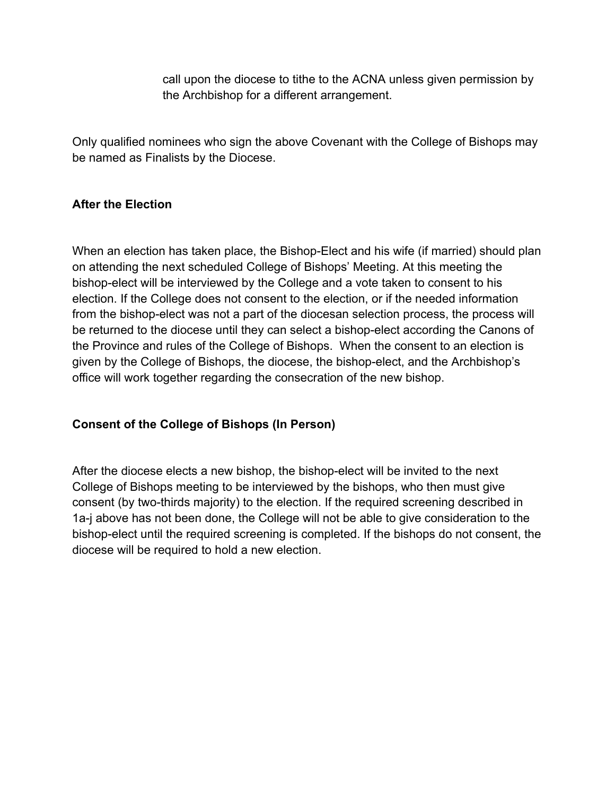call upon the diocese to tithe to the ACNA unless given permission by the Archbishop for a different arrangement.

Only qualified nominees who sign the above Covenant with the College of Bishops may be named as Finalists by the Diocese.

#### **After the Election**

When an election has taken place, the Bishop-Elect and his wife (if married) should plan on attending the next scheduled College of Bishops' Meeting. At this meeting the bishop-elect will be interviewed by the College and a vote taken to consent to his election. If the College does not consent to the election, or if the needed information from the bishop-elect was not a part of the diocesan selection process, the process will be returned to the diocese until they can select a bishop-elect according the Canons of the Province and rules of the College of Bishops. When the consent to an election is given by the College of Bishops, the diocese, the bishop-elect, and the Archbishop's office will work together regarding the consecration of the new bishop.

#### **Consent of the College of Bishops (In Person)**

After the diocese elects a new bishop, the bishop-elect will be invited to the next College of Bishops meeting to be interviewed by the bishops, who then must give consent (by two-thirds majority) to the election. If the required screening described in 1a-j above has not been done, the College will not be able to give consideration to the bishop-elect until the required screening is completed. If the bishops do not consent, the diocese will be required to hold a new election.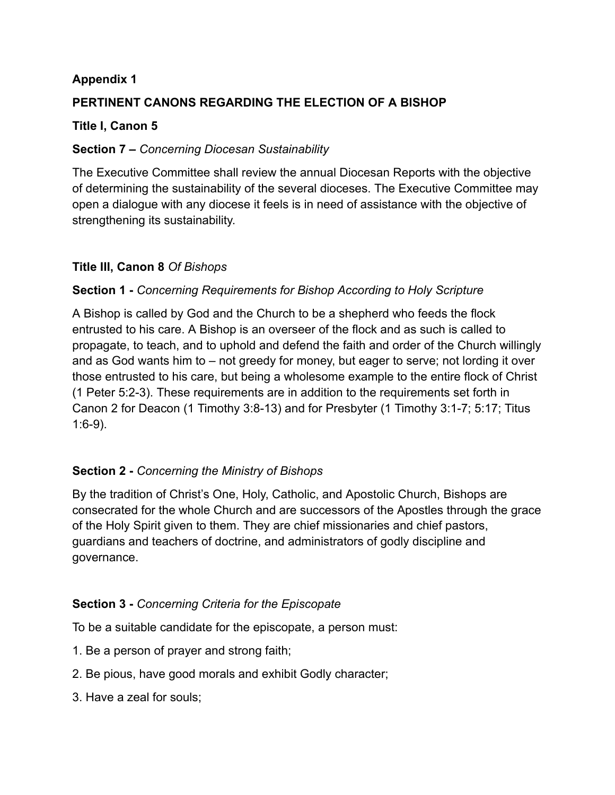### **Appendix 1**

## **PERTINENT CANONS REGARDING THE ELECTION OF A BISHOP**

### **Title I, Canon 5**

## **Section 7 –** *Concerning Diocesan Sustainability*

The Executive Committee shall review the annual Diocesan Reports with the objective of determining the sustainability of the several dioceses. The Executive Committee may open a dialogue with any diocese it feels is in need of assistance with the objective of strengthening its sustainability.

## **Title III, Canon 8** *Of Bishops*

## **Section 1 -** *Concerning Requirements for Bishop According to Holy Scripture*

A Bishop is called by God and the Church to be a shepherd who feeds the flock entrusted to his care. A Bishop is an overseer of the flock and as such is called to propagate, to teach, and to uphold and defend the faith and order of the Church willingly and as God wants him to – not greedy for money, but eager to serve; not lording it over those entrusted to his care, but being a wholesome example to the entire flock of Christ (1 Peter 5:2-3). These requirements are in addition to the requirements set forth in Canon 2 for Deacon (1 Timothy 3:8-13) and for Presbyter (1 Timothy 3:1-7; 5:17; Titus 1:6-9).

## **Section 2 -** *Concerning the Ministry of Bishops*

By the tradition of Christ's One, Holy, Catholic, and Apostolic Church, Bishops are consecrated for the whole Church and are successors of the Apostles through the grace of the Holy Spirit given to them. They are chief missionaries and chief pastors, guardians and teachers of doctrine, and administrators of godly discipline and governance.

#### **Section 3 -** *Concerning Criteria for the Episcopate*

To be a suitable candidate for the episcopate, a person must:

- 1. Be a person of prayer and strong faith;
- 2. Be pious, have good morals and exhibit Godly character;
- 3. Have a zeal for souls;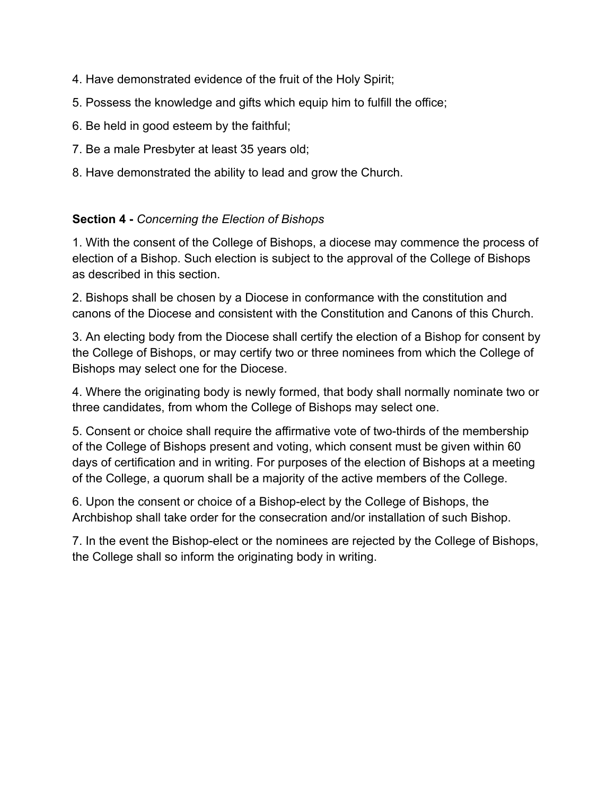- 4. Have demonstrated evidence of the fruit of the Holy Spirit;
- 5. Possess the knowledge and gifts which equip him to fulfill the office;
- 6. Be held in good esteem by the faithful;
- 7. Be a male Presbyter at least 35 years old;
- 8. Have demonstrated the ability to lead and grow the Church.

## **Section 4 -** *Concerning the Election of Bishops*

1. With the consent of the College of Bishops, a diocese may commence the process of election of a Bishop. Such election is subject to the approval of the College of Bishops as described in this section.

2. Bishops shall be chosen by a Diocese in conformance with the constitution and canons of the Diocese and consistent with the Constitution and Canons of this Church.

3. An electing body from the Diocese shall certify the election of a Bishop for consent by the College of Bishops, or may certify two or three nominees from which the College of Bishops may select one for the Diocese.

4. Where the originating body is newly formed, that body shall normally nominate two or three candidates, from whom the College of Bishops may select one.

5. Consent or choice shall require the affirmative vote of two-thirds of the membership of the College of Bishops present and voting, which consent must be given within 60 days of certification and in writing. For purposes of the election of Bishops at a meeting of the College, a quorum shall be a majority of the active members of the College.

6. Upon the consent or choice of a Bishop-elect by the College of Bishops, the Archbishop shall take order for the consecration and/or installation of such Bishop.

7. In the event the Bishop-elect or the nominees are rejected by the College of Bishops, the College shall so inform the originating body in writing.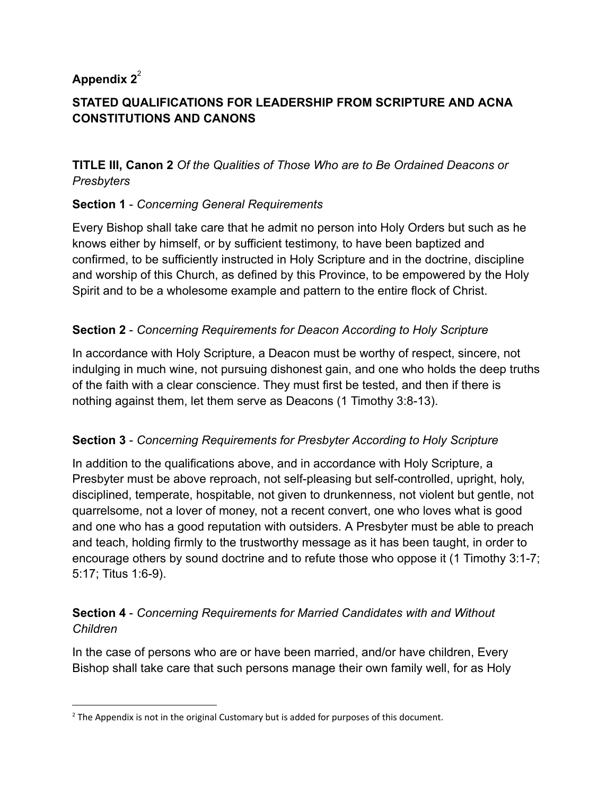## Appendix 2<sup>2</sup>

## **STATED QUALIFICATIONS FOR LEADERSHIP FROM SCRIPTURE AND ACNA CONSTITUTIONS AND CANONS**

**TITLE III, Canon 2** *Of the Qualities of Those Who are to Be Ordained Deacons or Presbyters* 

## **Section 1** - *Concerning General Requirements*

Every Bishop shall take care that he admit no person into Holy Orders but such as he knows either by himself, or by sufficient testimony, to have been baptized and confirmed, to be sufficiently instructed in Holy Scripture and in the doctrine, discipline and worship of this Church, as defined by this Province, to be empowered by the Holy Spirit and to be a wholesome example and pattern to the entire flock of Christ.

## **Section 2** - *Concerning Requirements for Deacon According to Holy Scripture*

In accordance with Holy Scripture, a Deacon must be worthy of respect, sincere, not indulging in much wine, not pursuing dishonest gain, and one who holds the deep truths of the faith with a clear conscience. They must first be tested, and then if there is nothing against them, let them serve as Deacons (1 Timothy 3:8-13).

#### **Section 3** - *Concerning Requirements for Presbyter According to Holy Scripture*

In addition to the qualifications above, and in accordance with Holy Scripture, a Presbyter must be above reproach, not self-pleasing but self-controlled, upright, holy, disciplined, temperate, hospitable, not given to drunkenness, not violent but gentle, not quarrelsome, not a lover of money, not a recent convert, one who loves what is good and one who has a good reputation with outsiders. A Presbyter must be able to preach and teach, holding firmly to the trustworthy message as it has been taught, in order to encourage others by sound doctrine and to refute those who oppose it (1 Timothy 3:1-7; 5:17; Titus 1:6-9).

## **Section 4** - *Concerning Requirements for Married Candidates with and Without Children*

In the case of persons who are or have been married, and/or have children, Every Bishop shall take care that such persons manage their own family well, for as Holy

 $2$  The Appendix is not in the original Customary but is added for purposes of this document.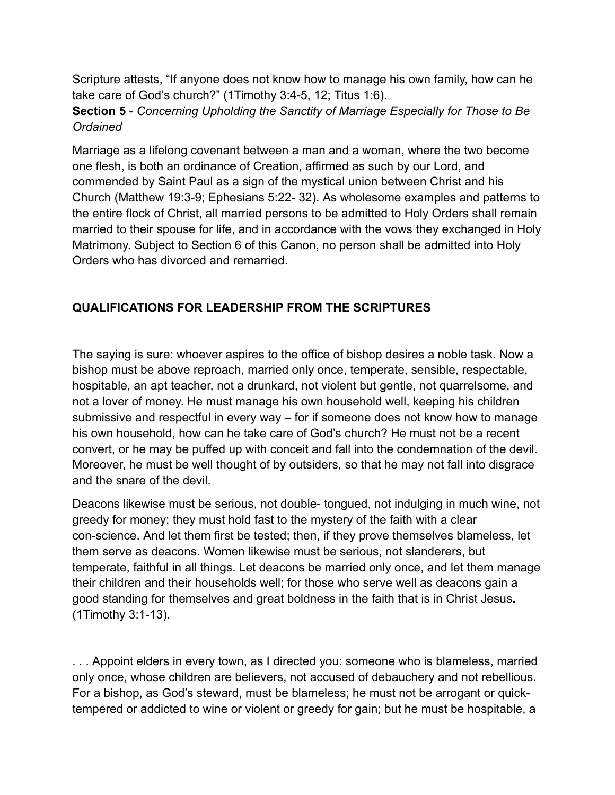Scripture attests, "If anyone does not know how to manage his own family, how can he take care of God's church?" (1Timothy 3:4-5, 12; Titus 1:6). **Section 5** - *Concerning Upholding the Sanctity of Marriage Especially for Those to Be Ordained* 

Marriage as a lifelong covenant between a man and a woman, where the two become one flesh, is both an ordinance of Creation, affirmed as such by our Lord, and commended by Saint Paul as a sign of the mystical union between Christ and his Church (Matthew 19:3-9; Ephesians 5:22- 32). As wholesome examples and patterns to the entire flock of Christ, all married persons to be admitted to Holy Orders shall remain married to their spouse for life, and in accordance with the vows they exchanged in Holy Matrimony. Subject to Section 6 of this Canon, no person shall be admitted into Holy Orders who has divorced and remarried.

## **QUALIFICATIONS FOR LEADERSHIP FROM THE SCRIPTURES**

The saying is sure: whoever aspires to the office of bishop desires a noble task. Now a bishop must be above reproach, married only once, temperate, sensible, respectable, hospitable, an apt teacher, not a drunkard, not violent but gentle, not quarrelsome, and not a lover of money. He must manage his own household well, keeping his children submissive and respectful in every way – for if someone does not know how to manage his own household, how can he take care of God's church? He must not be a recent convert, or he may be puffed up with conceit and fall into the condemnation of the devil. Moreover, he must be well thought of by outsiders, so that he may not fall into disgrace and the snare of the devil.

Deacons likewise must be serious, not double- tongued, not indulging in much wine, not greedy for money; they must hold fast to the mystery of the faith with a clear con-science. And let them first be tested; then, if they prove themselves blameless, let them serve as deacons. Women likewise must be serious, not slanderers, but temperate, faithful in all things. Let deacons be married only once, and let them manage their children and their households well; for those who serve well as deacons gain a good standing for themselves and great boldness in the faith that is in Christ Jesus **.**  (1Timothy 3:1-13).

. . . Appoint elders in every town, as I directed you: someone who is blameless, married only once, whose children are believers, not accused of debauchery and not rebellious. For a bishop, as God's steward, must be blameless; he must not be arrogant or quicktempered or addicted to wine or violent or greedy for gain; but he must be hospitable, a